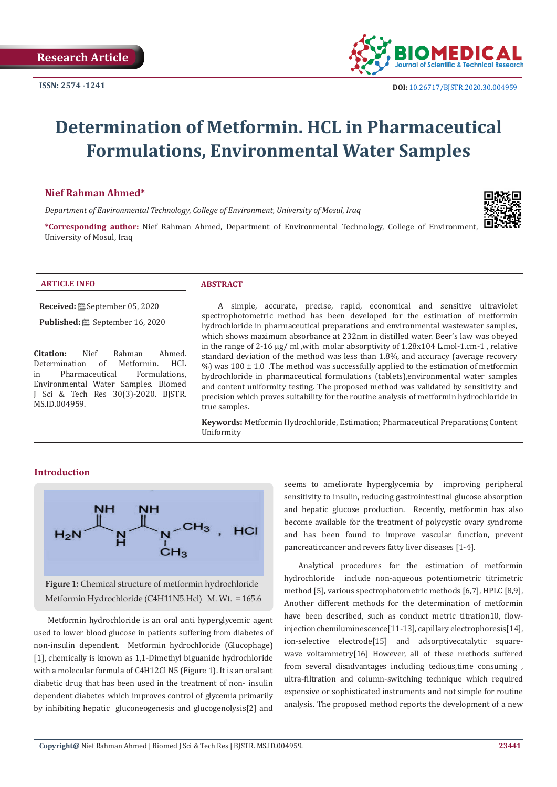

# **Determination of Metformin. HCL in Pharmaceutical Formulations, Environmental Water Samples**

# **Nief Rahman Ahmed\***

*Department of Environmental Technology, College of Environment, University of Mosul, Iraq*



**\*Corresponding author:** Nief Rahman Ahmed, Department of Environmental Technology, College of Environment, University of Mosul, Iraq

#### **ARTICLE INFO ABSTRACT**

**Received:** September 05, 2020

**Published:** September 16, 2020

**Citation:** Nief Rahman Ahmed.<br>Determination of Metformin. HCL Determination of Metformin. HCL<br>in Pharmaceutical Formulations. Pharmaceutical Environmental Water Samples. Biomed J Sci & Tech Res 30(3)-2020. BJSTR. MS.ID.004959.

 A simple, accurate, precise, rapid, economical and sensitive ultraviolet spectrophotometric method has been developed for the estimation of metformin hydrochloride in pharmaceutical preparations and environmental wastewater samples, which shows maximum absorbance at 232nm in distilled water. Beer's law was obeyed in the range of 2-16 μg/ ml ,with molar absorptivity of 1.28x104 L.mol-1.cm-1 , relative standard deviation of the method was less than 1.8%, and accuracy (average recovery  $\%$ ) was 100 ± 1.0 . The method was successfully applied to the estimation of metformin hydrochloride in pharmaceutical formulations (tablets),environmental water samples and content uniformity testing. The proposed method was validated by sensitivity and precision which proves suitability for the routine analysis of metformin hydrochloride in true samples.

**Keywords:** Metformin Hydrochloride, Estimation; Pharmaceutical Preparations;Content Uniformity

# **Introduction**



**Figure 1:** Chemical structure of metformin hydrochloride Metformin Hydrochloride (C4H11N5.Hcl) M. Wt. = 165.6

Metformin hydrochloride is an oral anti hyperglycemic agent used to lower blood glucose in patients suffering from diabetes of non-insulin dependent. Metformin hydrochloride (Glucophage) [1], chemically is known as 1,1-Dimethyl biguanide hydrochloride with a molecular formula of C4H12Cl N5 (Figure 1). It is an oral ant diabetic drug that has been used in the treatment of non- insulin dependent diabetes which improves control of glycemia primarily by inhibiting hepatic gluconeogenesis and glucogenolysis[2] and seems to ameliorate hyperglycemia by improving peripheral sensitivity to insulin, reducing gastrointestinal glucose absorption and hepatic glucose production. Recently, metformin has also become available for the treatment of polycystic ovary syndrome and has been found to improve vascular function, prevent pancreaticcancer and revers fatty liver diseases [1-4].

Analytical procedures for the estimation of metformin hydrochloride include non-aqueous potentiometric titrimetric method [5], various spectrophotometric methods [6,7], HPLC [8,9], Another different methods for the determination of metformin have been described, such as conduct metric titration10, flowinjection chemiluminescence[11-13], capillary electrophoresis[14], ion-selective electrode[15] and adsorptivecatalytic squarewave voltammetry[16] However, all of these methods suffered from several disadvantages including tedious,time consuming , ultra-filtration and column-switching technique which required expensive or sophisticated instruments and not simple for routine analysis. The proposed method reports the development of a new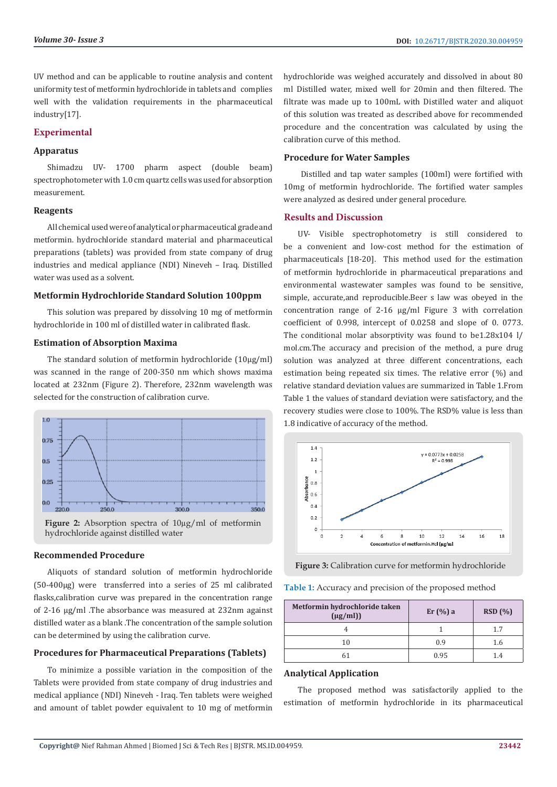UV method and can be applicable to routine analysis and content uniformity test of metformin hydrochloride in tablets and complies well with the validation requirements in the pharmaceutical industry[17].

# **Experimental**

# **Apparatus**

Shimadzu UV- 1700 pharm aspect (double beam) spectrophotometer with 1.0 cm quartz cells was used for absorption measurement.

# **Reagents**

All chemical used were of analytical or pharmaceutical grade and metformin. hydrochloride standard material and pharmaceutical preparations (tablets) was provided from state company of drug industries and medical appliance (NDI) Nineveh – Iraq. Distilled water was used as a solvent.

# **Metformin Hydrochloride Standard Solution 100ppm**

This solution was prepared by dissolving 10 mg of metformin hydrochloride in 100 ml of distilled water in calibrated flask.

# **Estimation of Absorption Maxima**

The standard solution of metformin hydrochloride (10µg/ml) was scanned in the range of 200-350 nm which shows maxima located at 232nm (Figure 2). Therefore, 232nm wavelength was selected for the construction of calibration curve.



**Figure 2:** Absorption spectra of 10µg/ml of metformin hydrochloride against distilled water

#### **Recommended Procedure**

Aliquots of standard solution of metformin hydrochloride (50-400µg) were transferred into a series of 25 ml calibrated flasks,calibration curve was prepared in the concentration range of 2-16 µg/ml .The absorbance was measured at 232nm against distilled water as a blank .The concentration of the sample solution can be determined by using the calibration curve.

# **Procedures for Pharmaceutical Preparations (Tablets)**

To minimize a possible variation in the composition of the Tablets were provided from state company of drug industries and medical appliance (NDI) Nineveh - Iraq. Ten tablets were weighed and amount of tablet powder equivalent to 10 mg of metformin hydrochloride was weighed accurately and dissolved in about 80 ml Distilled water, mixed well for 20min and then filtered. The filtrate was made up to 100mL with Distilled water and aliquot of this solution was treated as described above for recommended procedure and the concentration was calculated by using the calibration curve of this method.

# **Procedure for Water Samples**

 Distilled and tap water samples (100ml) were fortified with 10mg of metformin hydrochloride. The fortified water samples were analyzed as desired under general procedure.

# **Results and Discussion**

UV- Visible spectrophotometry is still considered to be a convenient and low-cost method for the estimation of pharmaceuticals [18-20]. This method used for the estimation of metformin hydrochloride in pharmaceutical preparations and environmental wastewater samples was found to be sensitive, simple, accurate,and reproducible.Beer s law was obeyed in the concentration range of 2-16 µg/ml Figure 3 with correlation coefficient of 0.998, intercept of 0.0258 and slope of 0. 0773. The conditional molar absorptivity was found to be1.28x104 l/ mol.cm.The accuracy and precision of the method, a pure drug solution was analyzed at three different concentrations, each estimation being repeated six times. The relative error (%) and relative standard deviation values are summarized in Table 1.From Table 1 the values of standard deviation were satisfactory, and the recovery studies were close to 100%. The RSD% value is less than 1.8 indicative of accuracy of the method.



**Figure 3:** Calibration curve for metformin hydrochloride

| <b>Table 1:</b> Accuracy and precision of the proposed method |  |  |  |
|---------------------------------------------------------------|--|--|--|
|---------------------------------------------------------------|--|--|--|

| Metformin hydrochloride taken<br>$(\mu g/ml))$ | Er(%)a | RSD(%) |
|------------------------------------------------|--------|--------|
|                                                |        | 17     |
| 10                                             | 0.9    | 1.6    |
|                                                | 0.95   | 14     |

# **Analytical Application**

The proposed method was satisfactorily applied to the estimation of metformin hydrochloride in its pharmaceutical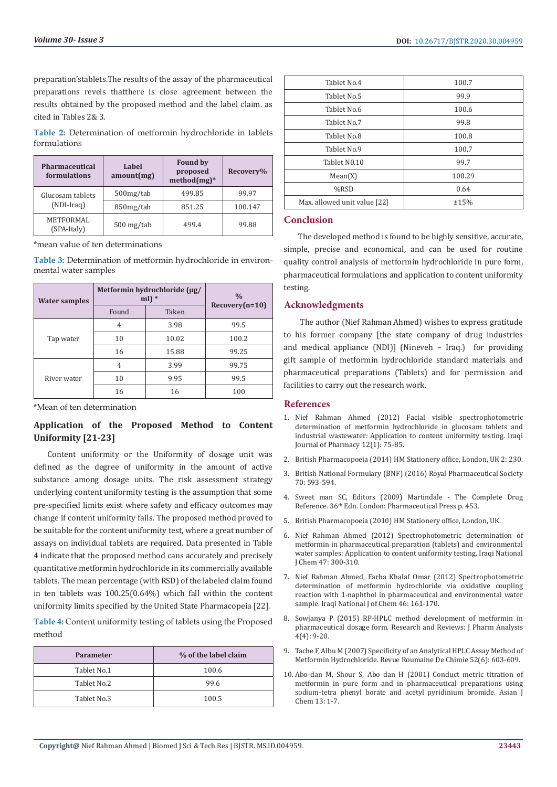preparation'stablets.The results of the assay of the pharmaceutical preparations revels thatthere is close agreement between the results obtained by the proposed method and the label claim. as cited in Tables 2& 3.

**Table 2:** Determination of metformin hydrochloride in tablets formulations

| <b>Pharmaceutical</b><br>formulations | Label<br>amount(mg) | <b>Found by</b><br>proposed<br>$method(mg)*$ | Recovery% |
|---------------------------------------|---------------------|----------------------------------------------|-----------|
| Glucosam tablets                      | 500mg/tab           | 499.85                                       | 99.97     |
| (NDI-Irag)                            | 850mg/tab           | 851.25                                       | 100.147   |
| METFORMAL<br>(SPA-Italy)              | $500$ mg/tab        | 499.4                                        | 99.88     |

\*mean value of ten determinations

**Table 3:** Determination of metformin hydrochloride in environmental water samples

| <b>Water samples</b> | Metformin hydrochloride (µg/<br>ml) $*$ |       | $\frac{0}{0}$    |
|----------------------|-----------------------------------------|-------|------------------|
|                      | Found                                   | Taken | $Recovery(n=10)$ |
|                      | 4                                       | 3.98  | 99.5             |
| Tap water            | 10                                      | 10.02 | 100.2            |
|                      | 16                                      | 15.88 | 99.25            |
| River water          | $\overline{4}$                          | 3.99  | 99.75            |
|                      | 10                                      | 9.95  | 99.5             |
|                      | 16                                      | 16    | 100              |

\*Mean of ten determination

# **Application of the Proposed Method to Content Uniformity [21-23]**

Content uniformity or the Uniformity of dosage unit was defined as the degree of uniformity in the amount of active substance among dosage units. The risk assessment strategy underlying content uniformity testing is the assumption that some pre-specified limits exist where safety and efficacy outcomes may change if content uniformity fails. The proposed method proved to be suitable for the content uniformity test, where a great number of assays on individual tablets are required. Data presented in Table 4 indicate that the proposed method cans accurately and precisely quantitative metformin hydrochloride in its commercially available tablets. The mean percentage (with RSD) of the labeled claim found in ten tablets was 100.25(0.64%) which fall within the content uniformity limits specified by the United State Pharmacopeia [22].

**Table 4:** Content uniformity testing of tablets using the Proposed method

| <b>Parameter</b> | % of the label claim |
|------------------|----------------------|
| Tablet No.1      | 100.6                |
| Tablet No.2      | 99.6                 |
| Tablet No.3      | 100.5                |

| Tablet No.4                  | 100.7  |
|------------------------------|--------|
| Tablet No.5                  | 99.9   |
| Tablet No.6                  | 100.6  |
| Tablet No.7                  | 99.8   |
| Tablet No.8                  | 100.8  |
| Tablet No.9                  | 100,7  |
| Tablet N0.10                 | 99.7   |
| Mean(X)                      | 100.29 |
| $%$ RSD                      | 0.64   |
| Max. allowed unit value [22] | ±15%   |

# **Conclusion**

The developed method is found to be highly sensitive, accurate, simple, precise and economical, and can be used for routine quality control analysis of metformin hydrochloride in pure form, pharmaceutical formulations and application to content uniformity testing.

# **Acknowledgments**

 The author (Nief Rahman Ahmed) wishes to express gratitude to his former company [the state company of drug industries and medical appliance (NDI)] (Nineveh – Iraq.) for providing gift sample of metformin hydrochloride standard materials and pharmaceutical preparations (Tablets) and for permission and facilities to carry out the research work.

# **References**

- 1. [Nief Rahman Ahmed \(2012\) Facial visible spectrophotometric](https://iphr.mosuljournals.com/article_62346.html) [determination of metformin hydrochloride in glucosam tablets and](https://iphr.mosuljournals.com/article_62346.html) [industrial wastewater: Application to content uniformity testing. Iraqi](https://iphr.mosuljournals.com/article_62346.html) [Journal of Pharmacy 12\(1\): 75-85.](https://iphr.mosuljournals.com/article_62346.html)
- 2. [British Pharmacopoeia \(2014\) HM Stationery office, London, UK 2: 230.](https://www.pharmacopoeia.com/the-british-pharmacopoeia)
- 3. [British National Formulary \(BNF\) \(2016\) Royal Pharmaceutical Society](https://www.lebpedsoc.org/doc/HIGHLIGHTS%20FROM%20THE%20LITERATURE/bnf%20book.pdf) [70: 593-594.](https://www.lebpedsoc.org/doc/HIGHLIGHTS%20FROM%20THE%20LITERATURE/bnf%20book.pdf)
- 4. [Sweet man SC, Editors \(2009\) Martindale The Complete Drug](https://www.worldcat.org/title/martindale-the-complete-drug-reference/oclc/780989871) [Reference. 36th Edn. London: Pharmaceutical Press p. 453.](https://www.worldcat.org/title/martindale-the-complete-drug-reference/oclc/780989871)
- 5. [British Pharmacopoeia \(2010\) HM Stationery office, London, UK.](https://www.abebooks.com/9780113228287/British-Pharmacopoeia-2010-Stationery-Office-0113228287/plp)
- 6. [Nief Rahman Ahmed \(2012\) Spectrophotometric determination of](https://www.researchgate.net/profile/Nief_Rahman/publication/332780919_Spectrophotometric_determination_of_metformin_in_pharmaceutical_preparation_tablets_and_environmental_water_samples_Application_to_content_uniformity_testing_NJC/links/5cc953fd92851c8d22106f36/Spectrophotometric-determination-of-metformin-in-pharmaceutical-preparation-tablets-and-environmental-water-samples-Application-to-content-uniformity-testing-NJC.pdf) [metformin in pharmaceutical preparation \(tablets\) and environmental](https://www.researchgate.net/profile/Nief_Rahman/publication/332780919_Spectrophotometric_determination_of_metformin_in_pharmaceutical_preparation_tablets_and_environmental_water_samples_Application_to_content_uniformity_testing_NJC/links/5cc953fd92851c8d22106f36/Spectrophotometric-determination-of-metformin-in-pharmaceutical-preparation-tablets-and-environmental-water-samples-Application-to-content-uniformity-testing-NJC.pdf) [water samples: Application to content uniformity testing. Iraqi National](https://www.researchgate.net/profile/Nief_Rahman/publication/332780919_Spectrophotometric_determination_of_metformin_in_pharmaceutical_preparation_tablets_and_environmental_water_samples_Application_to_content_uniformity_testing_NJC/links/5cc953fd92851c8d22106f36/Spectrophotometric-determination-of-metformin-in-pharmaceutical-preparation-tablets-and-environmental-water-samples-Application-to-content-uniformity-testing-NJC.pdf) [J Chem 47: 300-310.](https://www.researchgate.net/profile/Nief_Rahman/publication/332780919_Spectrophotometric_determination_of_metformin_in_pharmaceutical_preparation_tablets_and_environmental_water_samples_Application_to_content_uniformity_testing_NJC/links/5cc953fd92851c8d22106f36/Spectrophotometric-determination-of-metformin-in-pharmaceutical-preparation-tablets-and-environmental-water-samples-Application-to-content-uniformity-testing-NJC.pdf)
- 7. [Nief Rahman Ahmed, Farha Khalaf Omar \(2012\) Spectrophotometric](https://www.iasj.net/iasj/article/56004) [determination of metformin hydrochloride via oxidative coupling](https://www.iasj.net/iasj/article/56004) [reaction with 1-naphthol in pharmaceutical and environmental water](https://www.iasj.net/iasj/article/56004) [sample. Iraqi National J of Chem 46: 161-170.](https://www.iasj.net/iasj/article/56004)
- 8. [Sowjanya P \(2015\) RP-HPLC method development of metformin in](http://www.rroij.com/open-access/rphplc-method-development-of-metformin-in-pharmaceutical-dosageform-.php?aid=64291) [pharmaceutical dosage form. Research and Reviews: J Pharm Analysis](http://www.rroij.com/open-access/rphplc-method-development-of-metformin-in-pharmaceutical-dosageform-.php?aid=64291) [4\(4\): 9-20.](http://www.rroij.com/open-access/rphplc-method-development-of-metformin-in-pharmaceutical-dosageform-.php?aid=64291)
- 9. [Tache F, Albu M \(2007\) Specificity of an Analytical HPLC Assay Method of](http://revroum.lew.ro/wp-content/uploads/2007/RRC_6_2007/Art%2009.pdf) [Metformin Hydrochloride. Revue Roumaine De Chimie 52\(6\): 603-609.](http://revroum.lew.ro/wp-content/uploads/2007/RRC_6_2007/Art%2009.pdf)
- 10. [Abo-dan M, Shour S, Abo dan H \(2001\) Conduct metric titration of](https://www.researchgate.net/profile/Safwan_Ashour/publication/236256543_Conductometric_Titration_of_Metformin_in_Pure_Form_and_in_Pharmaceutical_Preparations_Using_Sodium_Tetraphenylborate_and_Cetylpyridinium_Bromide/links/00b7d5176e9d9c4402000000.pdf) [metformin in pure form and in pharmaceutical preparations using](https://www.researchgate.net/profile/Safwan_Ashour/publication/236256543_Conductometric_Titration_of_Metformin_in_Pure_Form_and_in_Pharmaceutical_Preparations_Using_Sodium_Tetraphenylborate_and_Cetylpyridinium_Bromide/links/00b7d5176e9d9c4402000000.pdf) [sodium-tetra phenyl borate and acetyl pyridinium bromide. Asian J](https://www.researchgate.net/profile/Safwan_Ashour/publication/236256543_Conductometric_Titration_of_Metformin_in_Pure_Form_and_in_Pharmaceutical_Preparations_Using_Sodium_Tetraphenylborate_and_Cetylpyridinium_Bromide/links/00b7d5176e9d9c4402000000.pdf) [Chem 13: 1-7.](https://www.researchgate.net/profile/Safwan_Ashour/publication/236256543_Conductometric_Titration_of_Metformin_in_Pure_Form_and_in_Pharmaceutical_Preparations_Using_Sodium_Tetraphenylborate_and_Cetylpyridinium_Bromide/links/00b7d5176e9d9c4402000000.pdf)